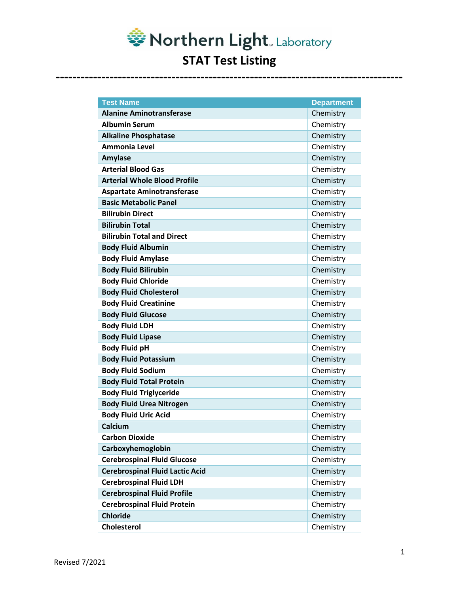

| <b>Test Name</b>                       | <b>Department</b> |
|----------------------------------------|-------------------|
| <b>Alanine Aminotransferase</b>        | Chemistry         |
| <b>Albumin Serum</b>                   | Chemistry         |
| <b>Alkaline Phosphatase</b>            | Chemistry         |
| Ammonia Level                          | Chemistry         |
| <b>Amylase</b>                         | Chemistry         |
| <b>Arterial Blood Gas</b>              | Chemistry         |
| <b>Arterial Whole Blood Profile</b>    | Chemistry         |
| <b>Aspartate Aminotransferase</b>      | Chemistry         |
| <b>Basic Metabolic Panel</b>           | Chemistry         |
| <b>Bilirubin Direct</b>                | Chemistry         |
| <b>Bilirubin Total</b>                 | Chemistry         |
| <b>Bilirubin Total and Direct</b>      | Chemistry         |
| <b>Body Fluid Albumin</b>              | Chemistry         |
| <b>Body Fluid Amylase</b>              | Chemistry         |
| <b>Body Fluid Bilirubin</b>            | Chemistry         |
| <b>Body Fluid Chloride</b>             | Chemistry         |
| <b>Body Fluid Cholesterol</b>          | Chemistry         |
| <b>Body Fluid Creatinine</b>           | Chemistry         |
| <b>Body Fluid Glucose</b>              | Chemistry         |
| <b>Body Fluid LDH</b>                  | Chemistry         |
| <b>Body Fluid Lipase</b>               | Chemistry         |
| <b>Body Fluid pH</b>                   | Chemistry         |
| <b>Body Fluid Potassium</b>            | Chemistry         |
| <b>Body Fluid Sodium</b>               | Chemistry         |
| <b>Body Fluid Total Protein</b>        | Chemistry         |
| <b>Body Fluid Triglyceride</b>         | Chemistry         |
| <b>Body Fluid Urea Nitrogen</b>        | Chemistry         |
| <b>Body Fluid Uric Acid</b>            | Chemistry         |
| Calcium                                | Chemistry         |
| <b>Carbon Dioxide</b>                  | Chemistry         |
| Carboxyhemoglobin                      | Chemistry         |
| <b>Cerebrospinal Fluid Glucose</b>     | Chemistry         |
| <b>Cerebrospinal Fluid Lactic Acid</b> | Chemistry         |
| <b>Cerebrospinal Fluid LDH</b>         | Chemistry         |
| <b>Cerebrospinal Fluid Profile</b>     | Chemistry         |
| <b>Cerebrospinal Fluid Protein</b>     | Chemistry         |
| <b>Chloride</b>                        | Chemistry         |
| <b>Cholesterol</b>                     | Chemistry         |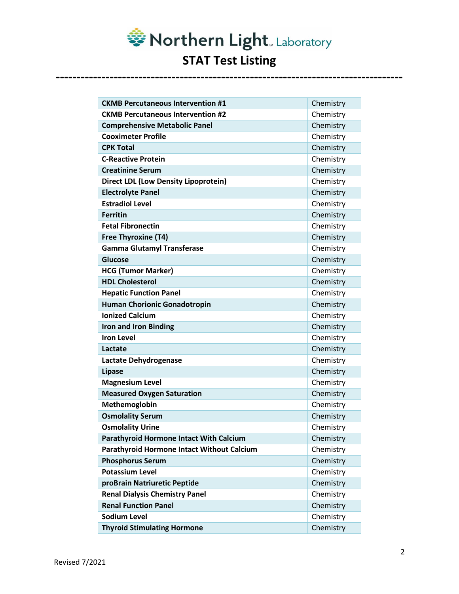Northern Light. Laboratory **STAT Test Listing** 

| <b>CKMB Percutaneous Intervention #1</b>       | Chemistry |
|------------------------------------------------|-----------|
| <b>CKMB Percutaneous Intervention #2</b>       | Chemistry |
| <b>Comprehensive Metabolic Panel</b>           | Chemistry |
| <b>Cooximeter Profile</b>                      | Chemistry |
| <b>CPK Total</b>                               | Chemistry |
| <b>C-Reactive Protein</b>                      | Chemistry |
| <b>Creatinine Serum</b>                        | Chemistry |
| <b>Direct LDL (Low Density Lipoprotein)</b>    | Chemistry |
| <b>Electrolyte Panel</b>                       | Chemistry |
| <b>Estradiol Level</b>                         | Chemistry |
| <b>Ferritin</b>                                | Chemistry |
| <b>Fetal Fibronectin</b>                       | Chemistry |
| <b>Free Thyroxine (T4)</b>                     | Chemistry |
| <b>Gamma Glutamyl Transferase</b>              | Chemistry |
| Glucose                                        | Chemistry |
| <b>HCG (Tumor Marker)</b>                      | Chemistry |
| <b>HDL Cholesterol</b>                         | Chemistry |
| <b>Hepatic Function Panel</b>                  | Chemistry |
| <b>Human Chorionic Gonadotropin</b>            | Chemistry |
| <b>Ionized Calcium</b>                         | Chemistry |
| <b>Iron and Iron Binding</b>                   | Chemistry |
| <b>Iron Level</b>                              | Chemistry |
| Lactate                                        | Chemistry |
| Lactate Dehydrogenase                          | Chemistry |
| Lipase                                         | Chemistry |
| <b>Magnesium Level</b>                         | Chemistry |
| <b>Measured Oxygen Saturation</b>              | Chemistry |
| Methemoglobin                                  | Chemistry |
| <b>Osmolality Serum</b>                        | Chemistry |
| <b>Osmolality Urine</b>                        | Chemistry |
| <b>Parathyroid Hormone Intact With Calcium</b> | Chemistry |
| Parathyroid Hormone Intact Without Calcium     | Chemistry |
| <b>Phosphorus Serum</b>                        | Chemistry |
| <b>Potassium Level</b>                         | Chemistry |
| proBrain Natriuretic Peptide                   | Chemistry |
| <b>Renal Dialysis Chemistry Panel</b>          | Chemistry |
| <b>Renal Function Panel</b>                    | Chemistry |
| <b>Sodium Level</b>                            | Chemistry |
| <b>Thyroid Stimulating Hormone</b>             | Chemistry |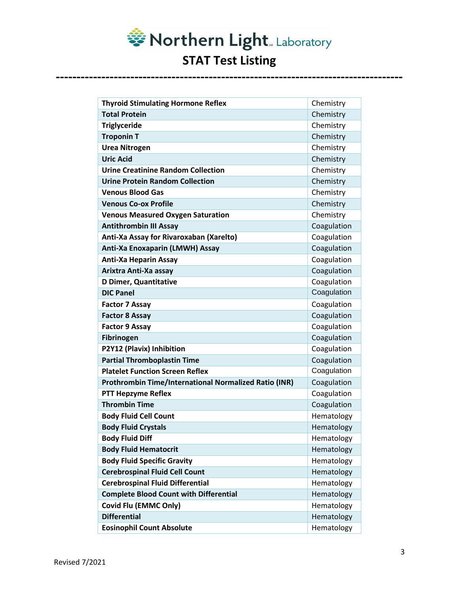Northern Light. Laboratory **STAT Test Listing** 

| <b>Thyroid Stimulating Hormone Reflex</b>                    | Chemistry   |
|--------------------------------------------------------------|-------------|
| <b>Total Protein</b>                                         | Chemistry   |
| <b>Triglyceride</b>                                          | Chemistry   |
| <b>Troponin T</b>                                            | Chemistry   |
| <b>Urea Nitrogen</b>                                         | Chemistry   |
| <b>Uric Acid</b>                                             | Chemistry   |
| <b>Urine Creatinine Random Collection</b>                    | Chemistry   |
| <b>Urine Protein Random Collection</b>                       | Chemistry   |
| <b>Venous Blood Gas</b>                                      | Chemistry   |
| <b>Venous Co-ox Profile</b>                                  | Chemistry   |
| <b>Venous Measured Oxygen Saturation</b>                     | Chemistry   |
| <b>Antithrombin III Assay</b>                                | Coagulation |
| Anti-Xa Assay for Rivaroxaban (Xarelto)                      | Coagulation |
| Anti-Xa Enoxaparin (LMWH) Assay                              | Coagulation |
| <b>Anti-Xa Heparin Assay</b>                                 | Coagulation |
| Arixtra Anti-Xa assay                                        | Coagulation |
| <b>D Dimer, Quantitative</b>                                 | Coagulation |
| <b>DIC Panel</b>                                             | Coagulation |
| <b>Factor 7 Assay</b>                                        | Coagulation |
| <b>Factor 8 Assay</b>                                        | Coagulation |
| <b>Factor 9 Assay</b>                                        | Coagulation |
| Fibrinogen                                                   | Coagulation |
| P2Y12 (Plavix) Inhibition                                    | Coagulation |
| <b>Partial Thromboplastin Time</b>                           | Coagulation |
| <b>Platelet Function Screen Reflex</b>                       | Coagulation |
| <b>Prothrombin Time/International Normalized Ratio (INR)</b> | Coagulation |
| <b>PTT Hepzyme Reflex</b>                                    | Coagulation |
| <b>Thrombin Time</b>                                         | Coagulation |
| <b>Body Fluid Cell Count</b>                                 | Hematology  |
| <b>Body Fluid Crystals</b>                                   | Hematology  |
| <b>Body Fluid Diff</b>                                       | Hematology  |
| <b>Body Fluid Hematocrit</b>                                 | Hematology  |
| <b>Body Fluid Specific Gravity</b>                           | Hematology  |
| <b>Cerebrospinal Fluid Cell Count</b>                        | Hematology  |
| <b>Cerebrospinal Fluid Differential</b>                      | Hematology  |
| <b>Complete Blood Count with Differential</b>                | Hematology  |
| <b>Covid Flu (EMMC Only)</b>                                 | Hematology  |
| <b>Differential</b>                                          | Hematology  |
| <b>Eosinophil Count Absolute</b>                             | Hematology  |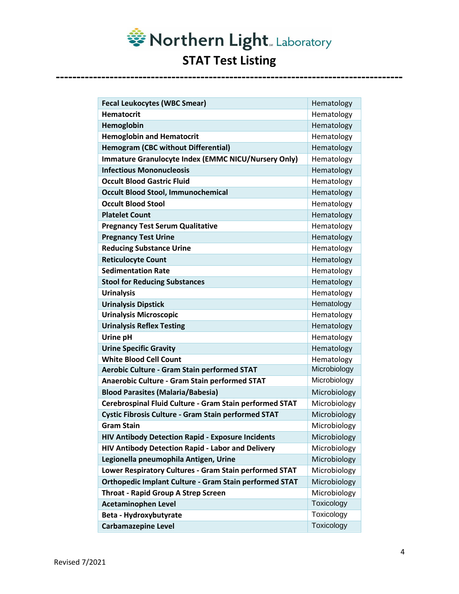Northern Light. Laboratory **STAT Test Listing** 

| <b>Fecal Leukocytes (WBC Smear)</b>                        | Hematology   |
|------------------------------------------------------------|--------------|
| <b>Hematocrit</b>                                          | Hematology   |
| Hemoglobin                                                 | Hematology   |
| <b>Hemoglobin and Hematocrit</b>                           | Hematology   |
| <b>Hemogram (CBC without Differential)</b>                 | Hematology   |
| <b>Immature Granulocyte Index (EMMC NICU/Nursery Only)</b> | Hematology   |
| <b>Infectious Mononucleosis</b>                            | Hematology   |
| <b>Occult Blood Gastric Fluid</b>                          | Hematology   |
| <b>Occult Blood Stool, Immunochemical</b>                  | Hematology   |
| <b>Occult Blood Stool</b>                                  | Hematology   |
| <b>Platelet Count</b>                                      | Hematology   |
| <b>Pregnancy Test Serum Qualitative</b>                    | Hematology   |
| <b>Pregnancy Test Urine</b>                                | Hematology   |
| <b>Reducing Substance Urine</b>                            | Hematology   |
| <b>Reticulocyte Count</b>                                  | Hematology   |
| <b>Sedimentation Rate</b>                                  | Hematology   |
| <b>Stool for Reducing Substances</b>                       | Hematology   |
| <b>Urinalysis</b>                                          | Hematology   |
| <b>Urinalysis Dipstick</b>                                 | Hematology   |
| <b>Urinalysis Microscopic</b>                              | Hematology   |
| <b>Urinalysis Reflex Testing</b>                           | Hematology   |
| Urine pH                                                   | Hematology   |
| <b>Urine Specific Gravity</b>                              | Hematology   |
| <b>White Blood Cell Count</b>                              | Hematology   |
| <b>Aerobic Culture - Gram Stain performed STAT</b>         | Microbiology |
| <b>Anaerobic Culture - Gram Stain performed STAT</b>       | Microbiology |
| <b>Blood Parasites (Malaria/Babesia)</b>                   | Microbiology |
| Cerebrospinal Fluid Culture - Gram Stain performed STAT    | Microbiology |
| <b>Cystic Fibrosis Culture - Gram Stain performed STAT</b> | Microbiology |
| <b>Gram Stain</b>                                          | Microbiology |
| <b>HIV Antibody Detection Rapid - Exposure Incidents</b>   | Microbiology |
| HIV Antibody Detection Rapid - Labor and Delivery          | Microbiology |
| Legionella pneumophila Antigen, Urine                      | Microbiology |
| Lower Respiratory Cultures - Gram Stain performed STAT     | Microbiology |
| Orthopedic Implant Culture - Gram Stain performed STAT     | Microbiology |
| <b>Throat - Rapid Group A Strep Screen</b>                 | Microbiology |
| <b>Acetaminophen Level</b>                                 | Toxicology   |
| Beta - Hydroxybutyrate                                     | Toxicology   |
| <b>Carbamazepine Level</b>                                 | Toxicology   |